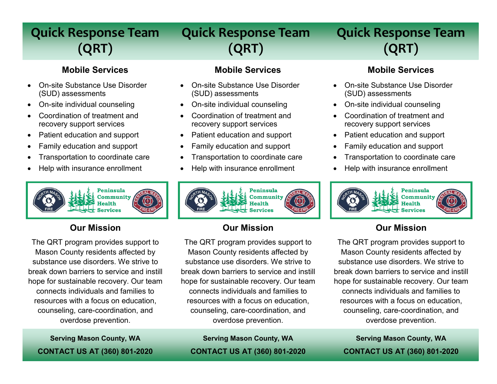## **Quick Response Team (QRT)**

# **Quick Response Team (QRT)**

# **Quick Response Team (QRT)**

#### **Mobile Services**

- On-site Substance Use Disorder (SUD) assessments
- On-site individual counseling
- Coordination of treatment and recovery support services
- Patient education and support
- Family education and support
- Transportation to coordinate care
- Help with insurance enrollment



## **Our Mission**

The QRT program provides support to Mason County residents affected by substance use disorders. We strive to break down barriers to service and instill hope for sustainable recovery. Our team connects individuals and families to resources with a focus on education, counseling, care-coordination, and overdose prevention.

**Mobile Services**

- On-site Substance Use Disorder (SUD) assessments
- On-site individual counseling
- Coordination of treatment and recovery support services
- Patient education and support
- Family education and support
- Transportation to coordinate care
- Help with insurance enrollment



## **Our Mission**

The QRT program provides support to Mason County residents affected by substance use disorders. We strive to break down barriers to service and instill hope for sustainable recovery. Our team connects individuals and families to resources with a focus on education, counseling, care-coordination, and overdose prevention.

**Serving Mason County, WA CONTACT US AT (360) 801-2020**

**Serving Mason County, WA CONTACT US AT (360) 801-2020**

#### **Mobile Services**

- On-site Substance Use Disorder (SUD) assessments
- On-site individual counseling
- Coordination of treatment and recovery support services
- Patient education and support
- Family education and support
- Transportation to coordinate care
- Help with insurance enrollment



## **Our Mission**

The QRT program provides support to Mason County residents affected by substance use disorders. We strive to break down barriers to service and instill hope for sustainable recovery. Our team connects individuals and families to resources with a focus on education, counseling, care-coordination, and overdose prevention.

**Serving Mason County, WA CONTACT US AT (360) 801-2020**